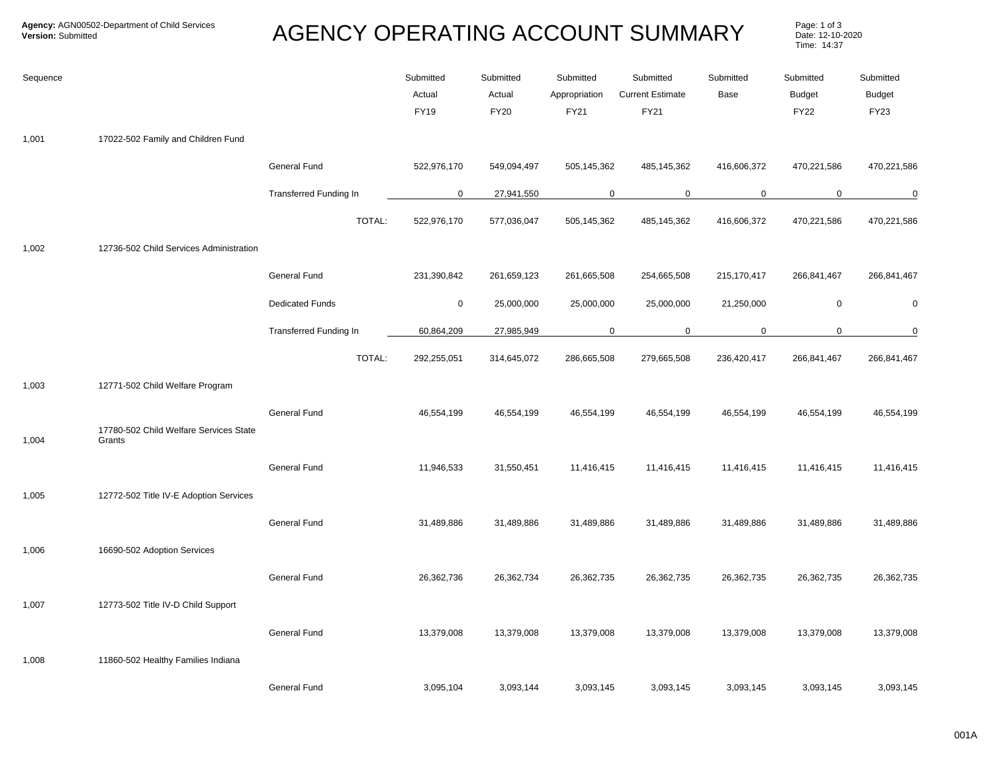## AGENCY OPERATING ACCOUNT SUMMARY

Page: 1 of 3<br>Date: 12-10-2020 Time: 14:37

| Sequence |                                                  |                               | Submitted<br>Actual<br><b>FY19</b> | Submitted<br>Actual<br><b>FY20</b> | Submitted<br>Appropriation<br>FY21 | Submitted<br><b>Current Estimate</b><br>FY21 | Submitted<br>Base | Submitted<br><b>Budget</b><br><b>FY22</b> | Submitted<br><b>Budget</b><br><b>FY23</b> |
|----------|--------------------------------------------------|-------------------------------|------------------------------------|------------------------------------|------------------------------------|----------------------------------------------|-------------------|-------------------------------------------|-------------------------------------------|
| 1,001    | 17022-502 Family and Children Fund               |                               |                                    |                                    |                                    |                                              |                   |                                           |                                           |
|          |                                                  | <b>General Fund</b>           | 522,976,170                        | 549,094,497                        | 505,145,362                        | 485,145,362                                  | 416,606,372       | 470,221,586                               | 470,221,586                               |
|          |                                                  | <b>Transferred Funding In</b> | 0                                  | 27,941,550                         | $\mathbf 0$                        | $\mathbf 0$                                  | $\mathbf 0$       | $\mathbf 0$                               | $\overline{0}$                            |
|          |                                                  | TOTAL:                        | 522,976,170                        | 577,036,047                        | 505,145,362                        | 485,145,362                                  | 416,606,372       | 470,221,586                               | 470,221,586                               |
| 1,002    | 12736-502 Child Services Administration          |                               |                                    |                                    |                                    |                                              |                   |                                           |                                           |
|          |                                                  | General Fund                  | 231,390,842                        | 261,659,123                        | 261,665,508                        | 254,665,508                                  | 215,170,417       | 266,841,467                               | 266,841,467                               |
|          |                                                  | <b>Dedicated Funds</b>        | $\mathsf 0$                        | 25,000,000                         | 25,000,000                         | 25,000,000                                   | 21,250,000        | $\mathbf 0$                               | $\mathbf 0$                               |
|          |                                                  | Transferred Funding In        | 60,864,209                         | 27,985,949                         | $\mathbf 0$                        | $\mathbf 0$                                  | $\mathbf 0$       | $\mathbf 0$                               | $\overline{0}$                            |
|          |                                                  | TOTAL:                        | 292,255,051                        | 314,645,072                        | 286,665,508                        | 279,665,508                                  | 236,420,417       | 266,841,467                               | 266,841,467                               |
| 1,003    | 12771-502 Child Welfare Program                  |                               |                                    |                                    |                                    |                                              |                   |                                           |                                           |
| 1,004    | 17780-502 Child Welfare Services State<br>Grants | <b>General Fund</b>           | 46,554,199                         | 46,554,199                         | 46,554,199                         | 46,554,199                                   | 46,554,199        | 46,554,199                                | 46,554,199                                |
|          |                                                  | <b>General Fund</b>           | 11,946,533                         | 31,550,451                         | 11,416,415                         | 11,416,415                                   | 11,416,415        | 11,416,415                                | 11,416,415                                |
| 1,005    | 12772-502 Title IV-E Adoption Services           |                               |                                    |                                    |                                    |                                              |                   |                                           |                                           |
|          |                                                  | <b>General Fund</b>           | 31,489,886                         | 31,489,886                         | 31,489,886                         | 31,489,886                                   | 31,489,886        | 31,489,886                                | 31,489,886                                |
| 1,006    | 16690-502 Adoption Services                      |                               |                                    |                                    |                                    |                                              |                   |                                           |                                           |
|          |                                                  | <b>General Fund</b>           | 26,362,736                         | 26,362,734                         | 26,362,735                         | 26,362,735                                   | 26,362,735        | 26,362,735                                | 26,362,735                                |
| 1,007    | 12773-502 Title IV-D Child Support               |                               |                                    |                                    |                                    |                                              |                   |                                           |                                           |
|          |                                                  | <b>General Fund</b>           | 13,379,008                         | 13,379,008                         | 13,379,008                         | 13,379,008                                   | 13,379,008        | 13,379,008                                | 13,379,008                                |
| 1,008    | 11860-502 Healthy Families Indiana               |                               |                                    |                                    |                                    |                                              |                   |                                           |                                           |
|          |                                                  | <b>General Fund</b>           | 3,095,104                          | 3,093,144                          | 3,093,145                          | 3,093,145                                    | 3,093,145         | 3,093,145                                 | 3,093,145                                 |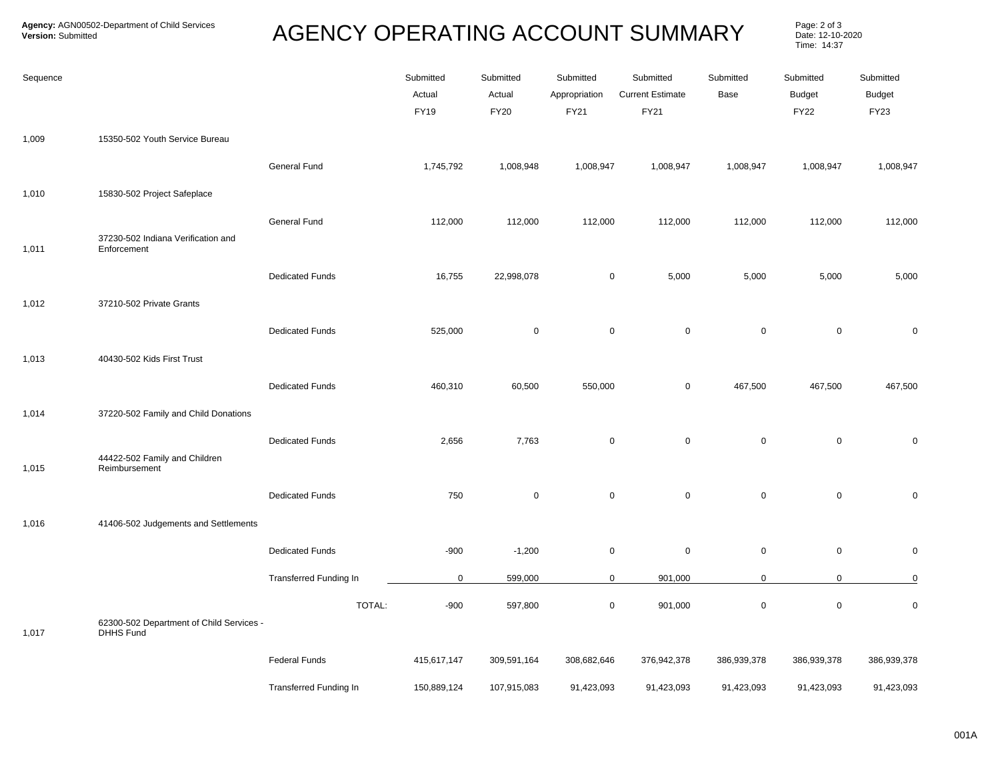## **AGENCY OPERATING ACCOUNT SUMMARY**

Page: 2 of 3<br>Date: 12-10-2020 Time: 14:37

| Sequence |                                                              |                        | Submitted<br>Actual<br><b>FY19</b> | Submitted<br>Actual<br><b>FY20</b> | Submitted<br>Appropriation<br>FY21 | Submitted<br><b>Current Estimate</b><br>FY21 | Submitted<br>Base | Submitted<br><b>Budget</b><br><b>FY22</b> | Submitted<br><b>Budget</b><br>FY23 |
|----------|--------------------------------------------------------------|------------------------|------------------------------------|------------------------------------|------------------------------------|----------------------------------------------|-------------------|-------------------------------------------|------------------------------------|
| 1,009    | 15350-502 Youth Service Bureau                               |                        |                                    |                                    |                                    |                                              |                   |                                           |                                    |
|          |                                                              | General Fund           | 1,745,792                          | 1,008,948                          | 1,008,947                          | 1,008,947                                    | 1,008,947         | 1,008,947                                 | 1,008,947                          |
| 1,010    | 15830-502 Project Safeplace                                  |                        |                                    |                                    |                                    |                                              |                   |                                           |                                    |
| 1,011    | 37230-502 Indiana Verification and<br>Enforcement            | General Fund           | 112,000                            | 112,000                            | 112,000                            | 112,000                                      | 112,000           | 112,000                                   | 112,000                            |
|          |                                                              | <b>Dedicated Funds</b> | 16,755                             | 22,998,078                         | $\pmb{0}$                          | 5,000                                        | 5,000             | 5,000                                     | 5,000                              |
| 1,012    | 37210-502 Private Grants                                     |                        |                                    |                                    |                                    |                                              |                   |                                           |                                    |
|          |                                                              | <b>Dedicated Funds</b> | 525,000                            | $\mathsf 0$                        | $\pmb{0}$                          | $\mathbf 0$                                  | $\mathbf 0$       | $\mathsf{O}\xspace$                       | $\pmb{0}$                          |
| 1,013    | 40430-502 Kids First Trust                                   |                        |                                    |                                    |                                    |                                              |                   |                                           |                                    |
|          |                                                              | <b>Dedicated Funds</b> | 460,310                            | 60,500                             | 550,000                            | $\mathbf 0$                                  | 467,500           | 467,500                                   | 467,500                            |
| 1,014    | 37220-502 Family and Child Donations                         | <b>Dedicated Funds</b> | 2,656                              |                                    | $\mathsf 0$                        | $\mathbf 0$                                  | $\mathbf 0$       | $\mathsf 0$                               |                                    |
| 1,015    | 44422-502 Family and Children<br>Reimbursement               |                        |                                    | 7,763                              |                                    |                                              |                   |                                           | $\pmb{0}$                          |
|          |                                                              | <b>Dedicated Funds</b> | 750                                | $\mathbf 0$                        | $\mathsf 0$                        | $\mathsf 0$                                  | $\mathbf 0$       | $\mathbf 0$                               | $\pmb{0}$                          |
| 1,016    | 41406-502 Judgements and Settlements                         |                        |                                    |                                    |                                    |                                              |                   |                                           |                                    |
|          |                                                              | <b>Dedicated Funds</b> | $-900$                             | $-1,200$                           | $\pmb{0}$                          | $\mathsf 0$                                  | $\mathbf 0$       | $\mathbf 0$                               | $\pmb{0}$                          |
|          |                                                              | Transferred Funding In | $\mathbf 0$                        | 599,000                            | $\mathbf 0$                        | 901,000                                      | $\mathbf 0$       | $\mathbf 0$                               | $\overline{0}$                     |
| 1,017    | 62300-502 Department of Child Services -<br><b>DHHS Fund</b> | TOTAL:                 | $-900$                             | 597,800                            | $\mathbf 0$                        | 901,000                                      | $\mathbf 0$       | $\mathsf 0$                               | $\pmb{0}$                          |
|          |                                                              | <b>Federal Funds</b>   | 415,617,147                        | 309,591,164                        | 308,682,646                        | 376,942,378                                  | 386,939,378       | 386,939,378                               | 386,939,378                        |
|          |                                                              | Transferred Funding In | 150,889,124                        | 107,915,083                        | 91,423,093                         | 91,423,093                                   | 91,423,093        | 91,423,093                                | 91,423,093                         |